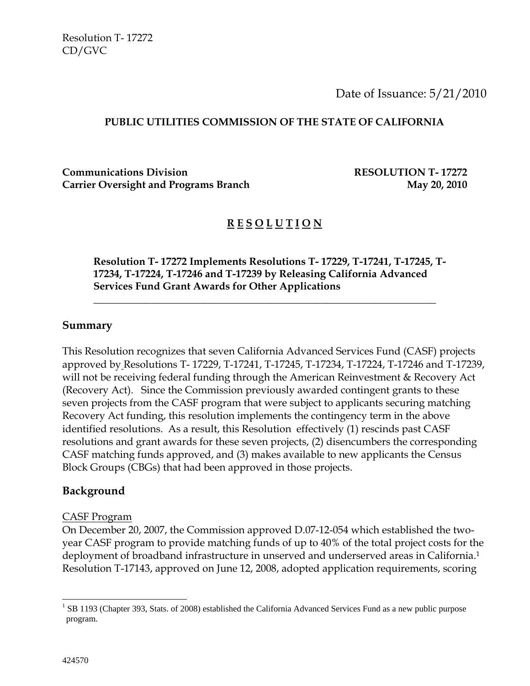Date of Issuance: 5/21/2010

#### **PUBLIC UTILITIES COMMISSION OF THE STATE OF CALIFORNIA**

**Communications Division RESOLUTION T- 17272** Carrier Oversight and Programs Branch May 20, 2010

### **R E S O L U T I O N**

**Resolution T- 17272 Implements Resolutions T- 17229, T-17241, T-17245, T-17234, T-17224, T-17246 and T-17239 by Releasing California Advanced Services Fund Grant Awards for Other Applications** 

 $\overline{\phantom{a}}$  , and the contract of the contract of the contract of the contract of the contract of the contract of the contract of the contract of the contract of the contract of the contract of the contract of the contrac

#### **Summary**

This Resolution recognizes that seven California Advanced Services Fund (CASF) projects approved by Resolutions T- 17229, T-17241, T-17245, T-17234, T-17224, T-17246 and T-17239, will not be receiving federal funding through the American Reinvestment & Recovery Act (Recovery Act). Since the Commission previously awarded contingent grants to these seven projects from the CASF program that were subject to applicants securing matching Recovery Act funding, this resolution implements the contingency term in the above identified resolutions. As a result, this Resolution effectively (1) rescinds past CASF resolutions and grant awards for these seven projects, (2) disencumbers the corresponding CASF matching funds approved, and (3) makes available to new applicants the Census Block Groups (CBGs) that had been approved in those projects.

#### **Background**

#### CASF Program

On December 20, 2007, the Commission approved D.07-12-054 which established the twoyear CASF program to provide matching funds of up to 40% of the total project costs for the deployment of broadband infrastructure in unserved and underserved areas in California.1 Resolution T-17143, approved on June 12, 2008, adopted application requirements, scoring

 $\overline{a}$ 

 $1$  SB 1193 (Chapter 393, Stats. of 2008) established the California Advanced Services Fund as a new public purpose program.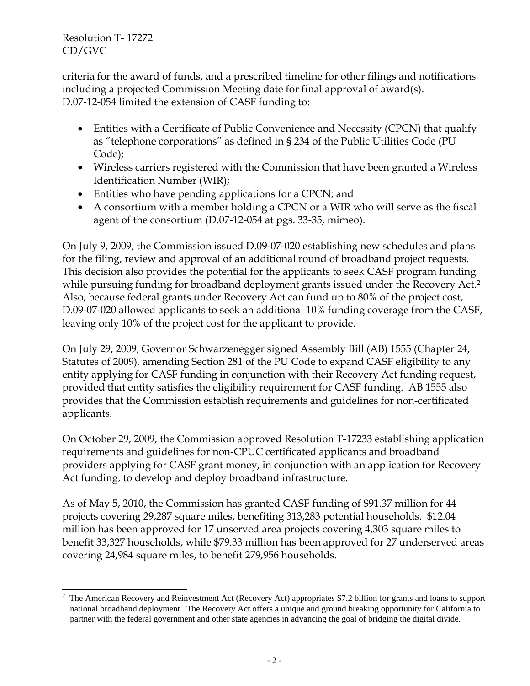criteria for the award of funds, and a prescribed timeline for other filings and notifications including a projected Commission Meeting date for final approval of award(s). D.07-12-054 limited the extension of CASF funding to:

- Entities with a Certificate of Public Convenience and Necessity (CPCN) that qualify as "telephone corporations" as defined in § 234 of the Public Utilities Code (PU Code);
- Wireless carriers registered with the Commission that have been granted a Wireless Identification Number (WIR);
- Entities who have pending applications for a CPCN; and
- A consortium with a member holding a CPCN or a WIR who will serve as the fiscal agent of the consortium (D.07-12-054 at pgs. 33-35, mimeo).

On July 9, 2009, the Commission issued D.09-07-020 establishing new schedules and plans for the filing, review and approval of an additional round of broadband project requests. This decision also provides the potential for the applicants to seek CASF program funding while pursuing funding for broadband deployment grants issued under the Recovery Act.<sup>2</sup> Also, because federal grants under Recovery Act can fund up to 80% of the project cost, D.09-07-020 allowed applicants to seek an additional 10% funding coverage from the CASF, leaving only 10% of the project cost for the applicant to provide.

On July 29, 2009, Governor Schwarzenegger signed Assembly Bill (AB) 1555 (Chapter 24, Statutes of 2009), amending Section 281 of the PU Code to expand CASF eligibility to any entity applying for CASF funding in conjunction with their Recovery Act funding request, provided that entity satisfies the eligibility requirement for CASF funding. AB 1555 also provides that the Commission establish requirements and guidelines for non-certificated applicants.

On October 29, 2009, the Commission approved Resolution T-17233 establishing application requirements and guidelines for non-CPUC certificated applicants and broadband providers applying for CASF grant money, in conjunction with an application for Recovery Act funding, to develop and deploy broadband infrastructure.

As of May 5, 2010, the Commission has granted CASF funding of \$91.37 million for 44 projects covering 29,287 square miles, benefiting 313,283 potential households. \$12.04 million has been approved for 17 unserved area projects covering 4,303 square miles to benefit 33,327 households, while \$79.33 million has been approved for 27 underserved areas covering 24,984 square miles, to benefit 279,956 households.

 $\overline{\phantom{a}}$ 2 The American Recovery and Reinvestment Act (Recovery Act) appropriates \$7.2 billion for grants and loans to support national broadband deployment. The Recovery Act offers a unique and ground breaking opportunity for California to partner with the federal government and other state agencies in advancing the goal of bridging the digital divide.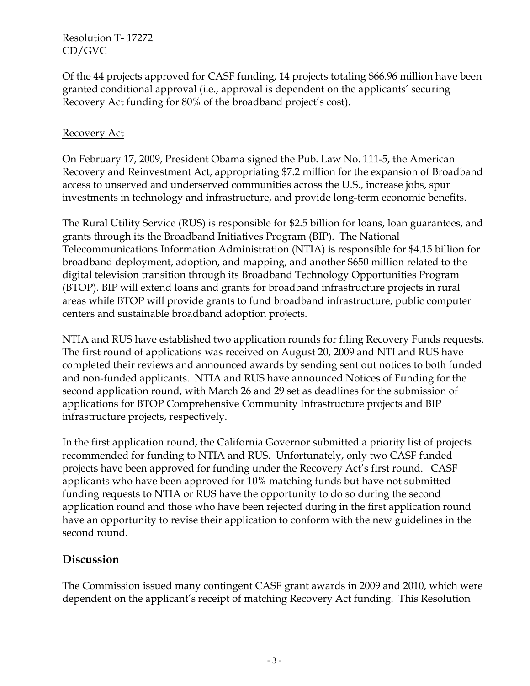Of the 44 projects approved for CASF funding, 14 projects totaling \$66.96 million have been granted conditional approval (i.e., approval is dependent on the applicants' securing Recovery Act funding for 80% of the broadband project's cost).

### Recovery Act

On February 17, 2009, President Obama signed the Pub. Law No. 111-5, the American Recovery and Reinvestment Act, appropriating \$7.2 million for the expansion of Broadband access to unserved and underserved communities across the U.S., increase jobs, spur investments in technology and infrastructure, and provide long-term economic benefits.

The Rural Utility Service (RUS) is responsible for \$2.5 billion for loans, loan guarantees, and grants through its the Broadband Initiatives Program (BIP). The National Telecommunications Information Administration (NTIA) is responsible for \$4.15 billion for broadband deployment, adoption, and mapping, and another \$650 million related to the digital television transition through its Broadband Technology Opportunities Program (BTOP). BIP will extend loans and grants for broadband infrastructure projects in rural areas while BTOP will provide grants to fund broadband infrastructure, public computer centers and sustainable broadband adoption projects.

NTIA and RUS have established two application rounds for filing Recovery Funds requests. The first round of applications was received on August 20, 2009 and NTI and RUS have completed their reviews and announced awards by sending sent out notices to both funded and non-funded applicants. NTIA and RUS have announced Notices of Funding for the second application round, with March 26 and 29 set as deadlines for the submission of applications for BTOP Comprehensive Community Infrastructure projects and BIP infrastructure projects, respectively.

In the first application round, the California Governor submitted a priority list of projects recommended for funding to NTIA and RUS. Unfortunately, only two CASF funded projects have been approved for funding under the Recovery Act's first round. CASF applicants who have been approved for 10% matching funds but have not submitted funding requests to NTIA or RUS have the opportunity to do so during the second application round and those who have been rejected during in the first application round have an opportunity to revise their application to conform with the new guidelines in the second round.

## **Discussion**

The Commission issued many contingent CASF grant awards in 2009 and 2010, which were dependent on the applicant's receipt of matching Recovery Act funding. This Resolution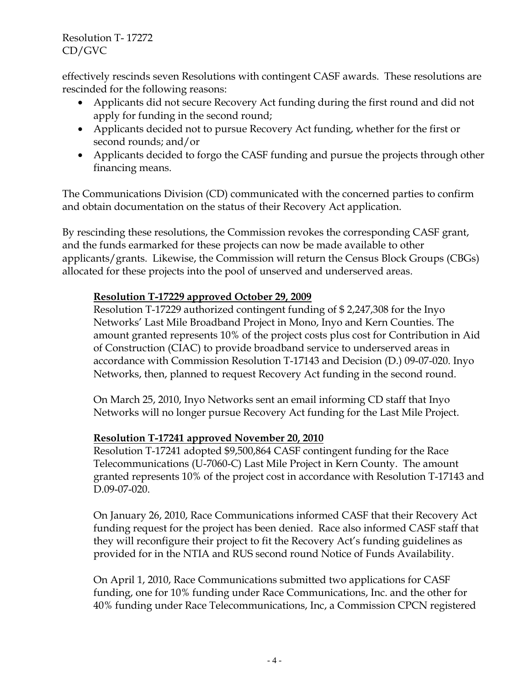effectively rescinds seven Resolutions with contingent CASF awards. These resolutions are rescinded for the following reasons:

- Applicants did not secure Recovery Act funding during the first round and did not apply for funding in the second round;
- Applicants decided not to pursue Recovery Act funding, whether for the first or second rounds; and/or
- Applicants decided to forgo the CASF funding and pursue the projects through other financing means.

The Communications Division (CD) communicated with the concerned parties to confirm and obtain documentation on the status of their Recovery Act application.

By rescinding these resolutions, the Commission revokes the corresponding CASF grant, and the funds earmarked for these projects can now be made available to other applicants/grants. Likewise, the Commission will return the Census Block Groups (CBGs) allocated for these projects into the pool of unserved and underserved areas.

### **Resolution T-17229 approved October 29, 2009**

Resolution T-17229 authorized contingent funding of \$ 2,247,308 for the Inyo Networks' Last Mile Broadband Project in Mono, Inyo and Kern Counties. The amount granted represents 10% of the project costs plus cost for Contribution in Aid of Construction (CIAC) to provide broadband service to underserved areas in accordance with Commission Resolution T-17143 and Decision (D.) 09-07-020. Inyo Networks, then, planned to request Recovery Act funding in the second round.

On March 25, 2010, Inyo Networks sent an email informing CD staff that Inyo Networks will no longer pursue Recovery Act funding for the Last Mile Project.

### **Resolution T-17241 approved November 20, 2010**

Resolution T-17241 adopted \$9,500,864 CASF contingent funding for the Race Telecommunications (U-7060-C) Last Mile Project in Kern County. The amount granted represents 10% of the project cost in accordance with Resolution T-17143 and D.09-07-020.

On January 26, 2010, Race Communications informed CASF that their Recovery Act funding request for the project has been denied. Race also informed CASF staff that they will reconfigure their project to fit the Recovery Act's funding guidelines as provided for in the NTIA and RUS second round Notice of Funds Availability.

On April 1, 2010, Race Communications submitted two applications for CASF funding, one for 10% funding under Race Communications, Inc. and the other for 40% funding under Race Telecommunications, Inc, a Commission CPCN registered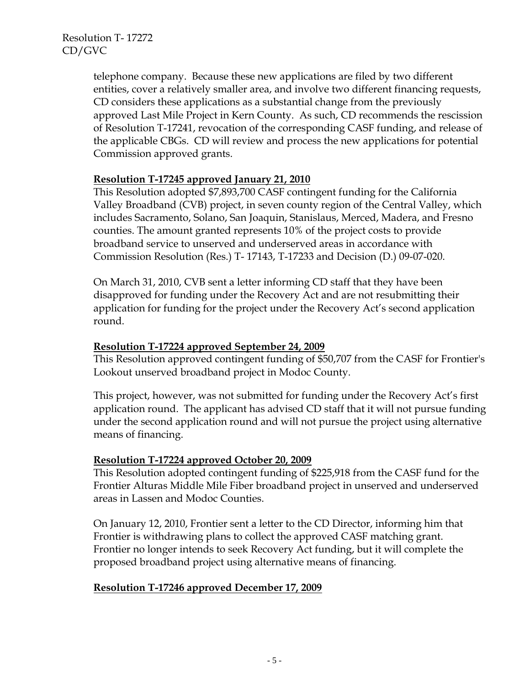telephone company. Because these new applications are filed by two different entities, cover a relatively smaller area, and involve two different financing requests, CD considers these applications as a substantial change from the previously approved Last Mile Project in Kern County. As such, CD recommends the rescission of Resolution T-17241, revocation of the corresponding CASF funding, and release of the applicable CBGs. CD will review and process the new applications for potential Commission approved grants.

### **Resolution T-17245 approved January 21, 2010**

This Resolution adopted \$7,893,700 CASF contingent funding for the California Valley Broadband (CVB) project, in seven county region of the Central Valley, which includes Sacramento, Solano, San Joaquin, Stanislaus, Merced, Madera, and Fresno counties. The amount granted represents 10% of the project costs to provide broadband service to unserved and underserved areas in accordance with Commission Resolution (Res.) T- 17143, T-17233 and Decision (D.) 09-07-020.

On March 31, 2010, CVB sent a letter informing CD staff that they have been disapproved for funding under the Recovery Act and are not resubmitting their application for funding for the project under the Recovery Act's second application round.

#### **Resolution T-17224 approved September 24, 2009**

This Resolution approved contingent funding of \$50,707 from the CASF for Frontier's Lookout unserved broadband project in Modoc County.

This project, however, was not submitted for funding under the Recovery Act's first application round. The applicant has advised CD staff that it will not pursue funding under the second application round and will not pursue the project using alternative means of financing.

### **Resolution T-17224 approved October 20, 2009**

This Resolution adopted contingent funding of \$225,918 from the CASF fund for the Frontier Alturas Middle Mile Fiber broadband project in unserved and underserved areas in Lassen and Modoc Counties.

On January 12, 2010, Frontier sent a letter to the CD Director, informing him that Frontier is withdrawing plans to collect the approved CASF matching grant. Frontier no longer intends to seek Recovery Act funding, but it will complete the proposed broadband project using alternative means of financing.

#### **Resolution T-17246 approved December 17, 2009**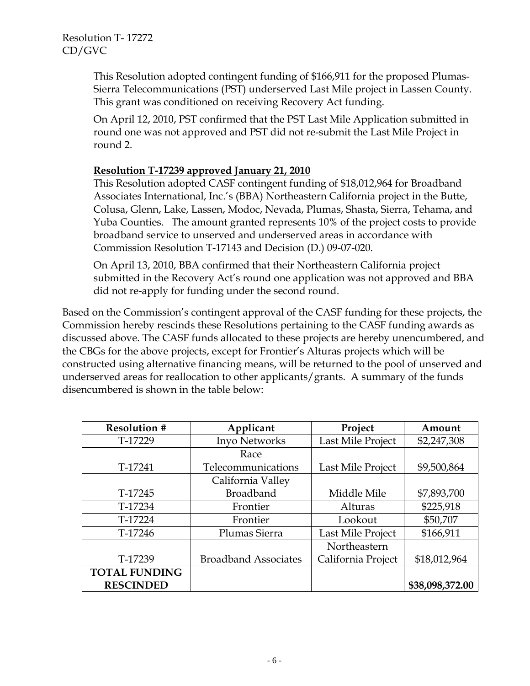This Resolution adopted contingent funding of \$166,911 for the proposed Plumas-Sierra Telecommunications (PST) underserved Last Mile project in Lassen County. This grant was conditioned on receiving Recovery Act funding.

On April 12, 2010, PST confirmed that the PST Last Mile Application submitted in round one was not approved and PST did not re-submit the Last Mile Project in round 2.

### **Resolution T-17239 approved January 21, 2010**

This Resolution adopted CASF contingent funding of \$18,012,964 for Broadband Associates International, Inc.'s (BBA) Northeastern California project in the Butte, Colusa, Glenn, Lake, Lassen, Modoc, Nevada, Plumas, Shasta, Sierra, Tehama, and Yuba Counties. The amount granted represents 10% of the project costs to provide broadband service to unserved and underserved areas in accordance with Commission Resolution T-17143 and Decision (D.) 09-07-020.

On April 13, 2010, BBA confirmed that their Northeastern California project submitted in the Recovery Act's round one application was not approved and BBA did not re-apply for funding under the second round.

Based on the Commission's contingent approval of the CASF funding for these projects, the Commission hereby rescinds these Resolutions pertaining to the CASF funding awards as discussed above. The CASF funds allocated to these projects are hereby unencumbered, and the CBGs for the above projects, except for Frontier's Alturas projects which will be constructed using alternative financing means, will be returned to the pool of unserved and underserved areas for reallocation to other applicants/grants. A summary of the funds disencumbered is shown in the table below:

| <b>Resolution #</b>  | Applicant                   | Project            | Amount          |
|----------------------|-----------------------------|--------------------|-----------------|
| T-17229              | Inyo Networks               | Last Mile Project  | \$2,247,308     |
|                      | Race                        |                    |                 |
| T-17241              | Telecommunications          | Last Mile Project  | \$9,500,864     |
|                      | California Valley           |                    |                 |
| T-17245              | <b>Broadband</b>            | Middle Mile        | \$7,893,700     |
| T-17234              | Frontier                    | Alturas            | \$225,918       |
| T-17224              | Frontier                    | Lookout            | \$50,707        |
| T-17246              | Plumas Sierra               | Last Mile Project  | \$166,911       |
|                      |                             | Northeastern       |                 |
| T-17239              | <b>Broadband Associates</b> | California Project | \$18,012,964    |
| <b>TOTAL FUNDING</b> |                             |                    |                 |
| <b>RESCINDED</b>     |                             |                    | \$38,098,372.00 |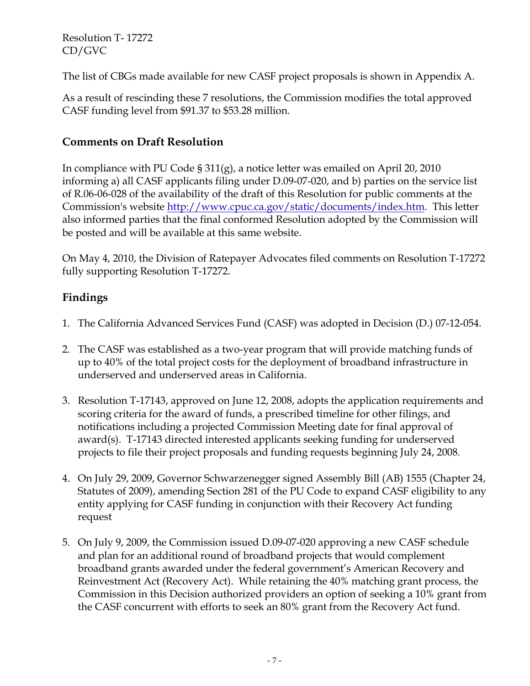The list of CBGs made available for new CASF project proposals is shown in Appendix A.

As a result of rescinding these 7 resolutions, the Commission modifies the total approved CASF funding level from \$91.37 to \$53.28 million.

# **Comments on Draft Resolution**

In compliance with PU Code § 311(g), a notice letter was emailed on April 20, 2010 informing a) all CASF applicants filing under D.09-07-020, and b) parties on the service list of R.06-06-028 of the availability of the draft of this Resolution for public comments at the Commission's website http://www.cpuc.ca.gov/static/documents/index.htm. This letter also informed parties that the final conformed Resolution adopted by the Commission will be posted and will be available at this same website.

On May 4, 2010, the Division of Ratepayer Advocates filed comments on Resolution T-17272 fully supporting Resolution T-17272.

# **Findings**

- 1. The California Advanced Services Fund (CASF) was adopted in Decision (D.) 07-12-054.
- 2. The CASF was established as a two-year program that will provide matching funds of up to 40% of the total project costs for the deployment of broadband infrastructure in underserved and underserved areas in California.
- 3. Resolution T-17143, approved on June 12, 2008, adopts the application requirements and scoring criteria for the award of funds, a prescribed timeline for other filings, and notifications including a projected Commission Meeting date for final approval of award(s). T-17143 directed interested applicants seeking funding for underserved projects to file their project proposals and funding requests beginning July 24, 2008.
- 4. On July 29, 2009, Governor Schwarzenegger signed Assembly Bill (AB) 1555 (Chapter 24, Statutes of 2009), amending Section 281 of the PU Code to expand CASF eligibility to any entity applying for CASF funding in conjunction with their Recovery Act funding request
- 5. On July 9, 2009, the Commission issued D.09-07-020 approving a new CASF schedule and plan for an additional round of broadband projects that would complement broadband grants awarded under the federal government's American Recovery and Reinvestment Act (Recovery Act). While retaining the 40% matching grant process, the Commission in this Decision authorized providers an option of seeking a 10% grant from the CASF concurrent with efforts to seek an 80% grant from the Recovery Act fund.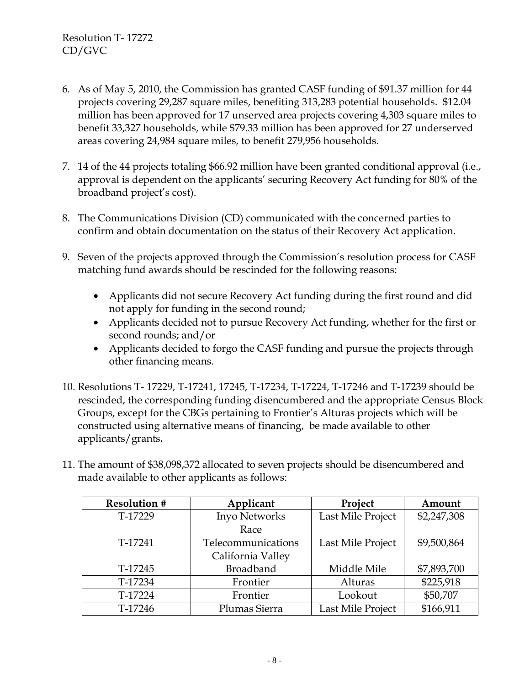- 6. As of May 5, 2010, the Commission has granted CASF funding of \$91.37 million for 44 projects covering 29,287 square miles, benefiting 313,283 potential households. \$12.04 million has been approved for 17 unserved area projects covering 4,303 square miles to benefit 33,327 households, while \$79.33 million has been approved for 27 underserved areas covering 24,984 square miles, to benefit 279,956 households.
- 7. 14 of the 44 projects totaling \$66.92 million have been granted conditional approval (i.e., approval is dependent on the applicants' securing Recovery Act funding for 80% of the broadband project's cost).
- 8. The Communications Division (CD) communicated with the concerned parties to confirm and obtain documentation on the status of their Recovery Act application.
- 9. Seven of the projects approved through the Commission's resolution process for CASF matching fund awards should be rescinded for the following reasons:
	- Applicants did not secure Recovery Act funding during the first round and did not apply for funding in the second round;
	- Applicants decided not to pursue Recovery Act funding, whether for the first or second rounds; and/or
	- Applicants decided to forgo the CASF funding and pursue the projects through other financing means.
- 10. Resolutions T- 17229, T-17241, 17245, T-17234, T-17224, T-17246 and T-17239 should be rescinded, the corresponding funding disencumbered and the appropriate Census Block Groups, except for the CBGs pertaining to Frontier's Alturas projects which will be constructed using alternative means of financing, be made available to other applicants/grants**.**
- 11. The amount of \$38,098,372 allocated to seven projects should be disencumbered and made available to other applicants as follows:

| <b>Resolution #</b> | Applicant          | Project           | Amount      |
|---------------------|--------------------|-------------------|-------------|
| T-17229             | Inyo Networks      | Last Mile Project | \$2,247,308 |
|                     | Race               |                   |             |
| T-17241             | Telecommunications | Last Mile Project | \$9,500,864 |
|                     | California Valley  |                   |             |
| T-17245             | <b>Broadband</b>   | Middle Mile       | \$7,893,700 |
| T-17234             | Frontier           | Alturas           | \$225,918   |
| T-17224             | Frontier           | Lookout           | \$50,707    |
| T-17246             | Plumas Sierra      | Last Mile Project | \$166,911   |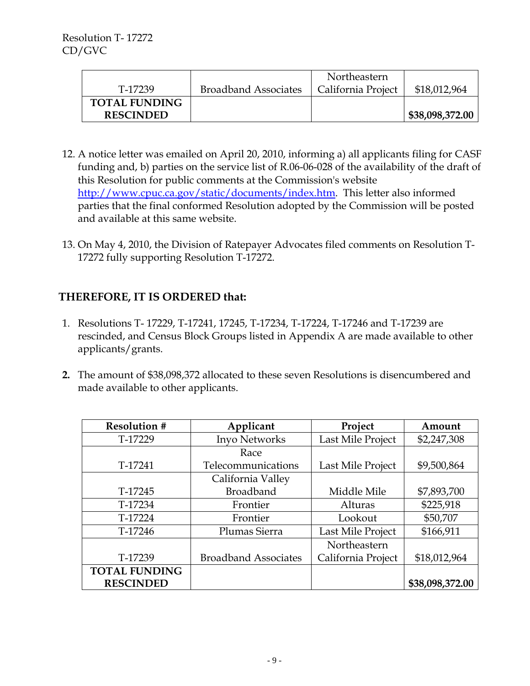|                      |                             | Northeastern       |                 |
|----------------------|-----------------------------|--------------------|-----------------|
| T-17239              | <b>Broadband Associates</b> | California Project | \$18,012,964    |
| <b>TOTAL FUNDING</b> |                             |                    |                 |
| <b>RESCINDED</b>     |                             |                    | \$38,098,372.00 |

- 12. A notice letter was emailed on April 20, 2010, informing a) all applicants filing for CASF funding and, b) parties on the service list of R.06-06-028 of the availability of the draft of this Resolution for public comments at the Commission's website http://www.cpuc.ca.gov/static/documents/index.htm. This letter also informed parties that the final conformed Resolution adopted by the Commission will be posted and available at this same website.
- 13. On May 4, 2010, the Division of Ratepayer Advocates filed comments on Resolution T-17272 fully supporting Resolution T-17272.

# **THEREFORE, IT IS ORDERED that:**

- 1. Resolutions T- 17229, T-17241, 17245, T-17234, T-17224, T-17246 and T-17239 are rescinded, and Census Block Groups listed in Appendix A are made available to other applicants/grants.
- **2.** The amount of \$38,098,372 allocated to these seven Resolutions is disencumbered and made available to other applicants.

| <b>Resolution #</b>  | Applicant                   | Project            | Amount          |
|----------------------|-----------------------------|--------------------|-----------------|
| T-17229              | Inyo Networks               | Last Mile Project  | \$2,247,308     |
|                      | Race                        |                    |                 |
| T-17241              | Telecommunications          | Last Mile Project  | \$9,500,864     |
|                      | California Valley           |                    |                 |
| T-17245              | <b>Broadband</b>            | Middle Mile        | \$7,893,700     |
| T-17234              | Frontier                    | Alturas            | \$225,918       |
| T-17224              | Frontier                    | Lookout            | \$50,707        |
| T-17246              | Plumas Sierra               | Last Mile Project  | \$166,911       |
|                      |                             | Northeastern       |                 |
| T-17239              | <b>Broadband Associates</b> | California Project | \$18,012,964    |
| <b>TOTAL FUNDING</b> |                             |                    |                 |
| <b>RESCINDED</b>     |                             |                    | \$38,098,372.00 |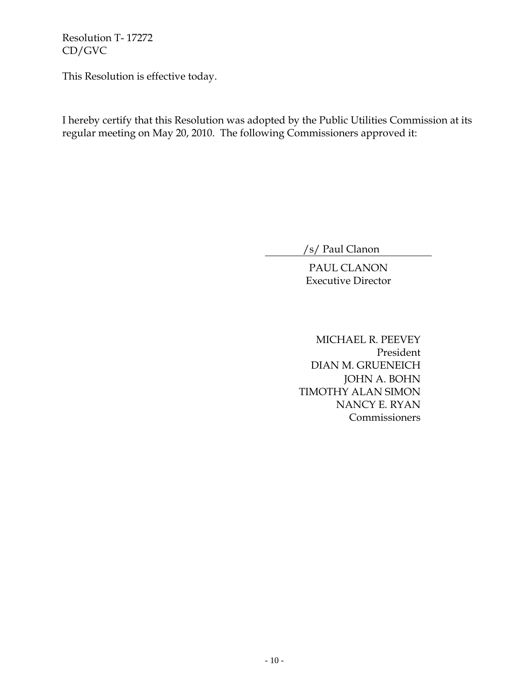This Resolution is effective today.

I hereby certify that this Resolution was adopted by the Public Utilities Commission at its regular meeting on May 20, 2010. The following Commissioners approved it:

/s/ Paul Clanon

PAUL CLANON Executive Director

MICHAEL R. PEEVEY President DIAN M. GRUENEICH JOHN A. BOHN TIMOTHY ALAN SIMON NANCY E. RYAN **Commissioners**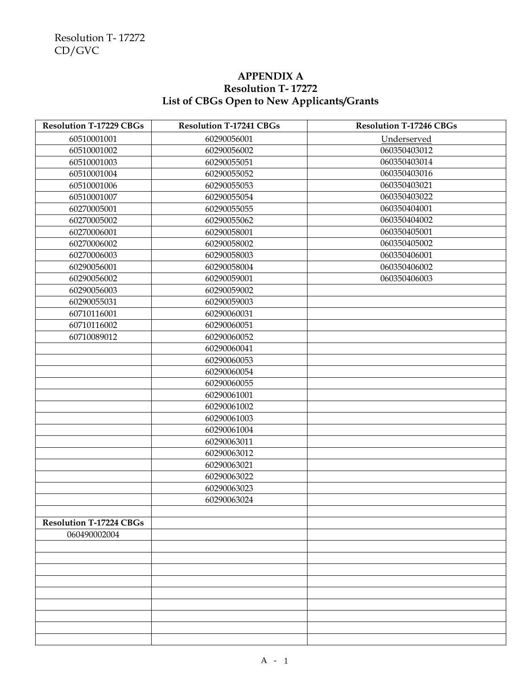## **APPENDIX A Resolution T- 17272 List of CBGs Open to New Applicants/Grants**

| <b>Resolution T-17229 CBGs</b> | <b>Resolution T-17241 CBGs</b> | <b>Resolution T-17246 CBGs</b> |
|--------------------------------|--------------------------------|--------------------------------|
| 60510001001                    | 60290056001                    | Underserved                    |
| 60510001002                    | 60290056002                    | 060350403012                   |
| 60510001003                    | 60290055051                    | 060350403014                   |
| 60510001004                    | 60290055052                    | 060350403016                   |
| 60510001006                    | 60290055053                    | 060350403021                   |
| 60510001007                    | 60290055054                    | 060350403022                   |
| 60270005001                    | 60290055055                    | 060350404001                   |
| 60270005002                    | 60290055062                    | 060350404002                   |
| 60270006001                    | 60290058001                    | 060350405001                   |
| 60270006002                    | 60290058002                    | 060350405002                   |
| 60270006003                    | 60290058003                    | 060350406001                   |
| 60290056001                    | 60290058004                    | 060350406002                   |
| 60290056002                    | 60290059001                    | 060350406003                   |
| 60290056003                    | 60290059002                    |                                |
| 60290055031                    | 60290059003                    |                                |
| 60710116001                    | 60290060031                    |                                |
| 60710116002                    | 60290060051                    |                                |
| 60710089012                    | 60290060052                    |                                |
|                                | 60290060041                    |                                |
|                                | 60290060053                    |                                |
|                                | 60290060054                    |                                |
|                                | 60290060055                    |                                |
|                                | 60290061001                    |                                |
|                                | 60290061002                    |                                |
|                                | 60290061003                    |                                |
|                                | 60290061004                    |                                |
|                                | 60290063011                    |                                |
|                                | 60290063012                    |                                |
|                                | 60290063021                    |                                |
|                                | 60290063022                    |                                |
|                                | 60290063023                    |                                |
|                                | 60290063024                    |                                |
|                                |                                |                                |
| <b>Resolution T-17224 CBGs</b> |                                |                                |
| 060490002004                   |                                |                                |
|                                |                                |                                |
|                                |                                |                                |
|                                |                                |                                |
|                                |                                |                                |
|                                |                                |                                |
|                                |                                |                                |
|                                |                                |                                |
|                                |                                |                                |
|                                |                                |                                |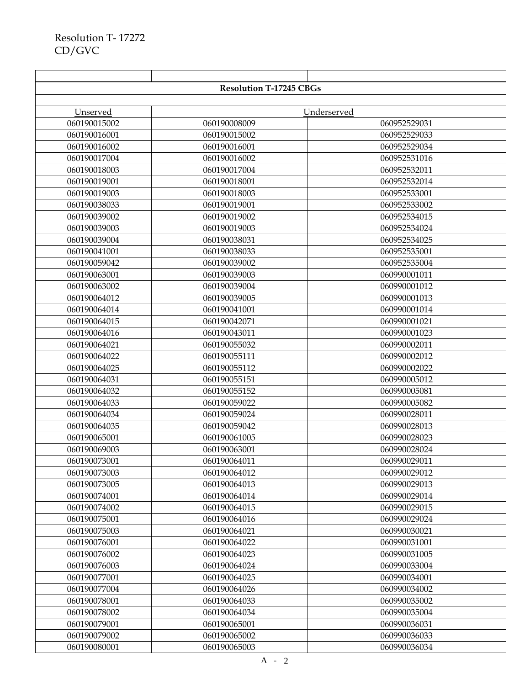|              | <b>Resolution T-17245 CBGs</b> |              |
|--------------|--------------------------------|--------------|
|              |                                |              |
| Unserved     |                                | Underserved  |
| 060190015002 | 060190008009                   | 060952529031 |
| 060190016001 | 060190015002                   | 060952529033 |
| 060190016002 | 060190016001                   | 060952529034 |
| 060190017004 | 060190016002                   | 060952531016 |
| 060190018003 | 060190017004                   | 060952532011 |
| 060190019001 | 060190018001                   | 060952532014 |
| 060190019003 | 060190018003                   | 060952533001 |
| 060190038033 | 060190019001                   | 060952533002 |
| 060190039002 | 060190019002                   | 060952534015 |
| 060190039003 | 060190019003                   | 060952534024 |
| 060190039004 | 060190038031                   | 060952534025 |
| 060190041001 | 060190038033                   | 060952535001 |
| 060190059042 | 060190039002                   | 060952535004 |
| 060190063001 | 060190039003                   | 060990001011 |
| 060190063002 | 060190039004                   | 060990001012 |
| 060190064012 | 060190039005                   | 060990001013 |
| 060190064014 | 060190041001                   | 060990001014 |
| 060190064015 | 060190042071                   | 060990001021 |
| 060190064016 | 060190043011                   | 060990001023 |
| 060190064021 | 060190055032                   | 060990002011 |
| 060190064022 | 060190055111                   | 060990002012 |
| 060190064025 | 060190055112                   | 060990002022 |
| 060190064031 | 060190055151                   | 060990005012 |
| 060190064032 | 060190055152                   | 060990005081 |
| 060190064033 | 060190059022                   | 060990005082 |
| 060190064034 | 060190059024                   | 060990028011 |
| 060190064035 | 060190059042                   | 060990028013 |
| 060190065001 | 060190061005                   | 060990028023 |
| 060190069003 | 060190063001                   | 060990028024 |
| 060190073001 | 060190064011                   | 060990029011 |
| 060190073003 | 060190064012                   | 060990029012 |
| 060190073005 | 060190064013                   | 060990029013 |
| 060190074001 | 060190064014                   | 060990029014 |
| 060190074002 | 060190064015                   | 060990029015 |
| 060190075001 | 060190064016                   | 060990029024 |
| 060190075003 | 060190064021                   | 060990030021 |
| 060190076001 | 060190064022                   | 060990031001 |
| 060190076002 | 060190064023                   | 060990031005 |
| 060190076003 | 060190064024                   | 060990033004 |
| 060190077001 | 060190064025                   | 060990034001 |
| 060190077004 | 060190064026                   | 060990034002 |
| 060190078001 | 060190064033                   | 060990035002 |
| 060190078002 | 060190064034                   | 060990035004 |
| 060190079001 | 060190065001                   | 060990036031 |
| 060190079002 | 060190065002                   | 060990036033 |
| 060190080001 | 060190065003                   | 060990036034 |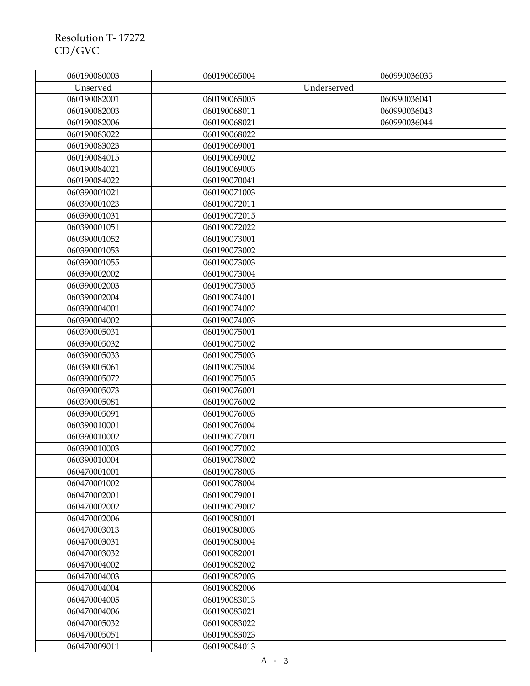| 060190080003 | 060190065004 | 060990036035 |
|--------------|--------------|--------------|
| Unserved     |              | Underserved  |
| 060190082001 | 060190065005 | 060990036041 |
| 060190082003 | 060190068011 | 060990036043 |
| 060190082006 | 060190068021 | 060990036044 |
| 060190083022 | 060190068022 |              |
| 060190083023 | 060190069001 |              |
| 060190084015 | 060190069002 |              |
| 060190084021 | 060190069003 |              |
| 060190084022 | 060190070041 |              |
| 060390001021 | 060190071003 |              |
| 060390001023 | 060190072011 |              |
| 060390001031 | 060190072015 |              |
| 060390001051 | 060190072022 |              |
| 060390001052 | 060190073001 |              |
| 060390001053 | 060190073002 |              |
| 060390001055 | 060190073003 |              |
| 060390002002 | 060190073004 |              |
| 060390002003 | 060190073005 |              |
| 060390002004 | 060190074001 |              |
| 060390004001 | 060190074002 |              |
| 060390004002 | 060190074003 |              |
| 060390005031 | 060190075001 |              |
| 060390005032 | 060190075002 |              |
| 060390005033 | 060190075003 |              |
| 060390005061 | 060190075004 |              |
| 060390005072 | 060190075005 |              |
| 060390005073 | 060190076001 |              |
| 060390005081 | 060190076002 |              |
| 060390005091 | 060190076003 |              |
| 060390010001 | 060190076004 |              |
| 060390010002 | 060190077001 |              |
| 060390010003 | 060190077002 |              |
| 060390010004 | 060190078002 |              |
| 060470001001 | 060190078003 |              |
| 060470001002 | 060190078004 |              |
| 060470002001 | 060190079001 |              |
| 060470002002 | 060190079002 |              |
| 060470002006 | 060190080001 |              |
| 060470003013 | 060190080003 |              |
| 060470003031 | 060190080004 |              |
| 060470003032 | 060190082001 |              |
| 060470004002 | 060190082002 |              |
| 060470004003 | 060190082003 |              |
| 060470004004 | 060190082006 |              |
| 060470004005 | 060190083013 |              |
| 060470004006 | 060190083021 |              |
| 060470005032 | 060190083022 |              |
| 060470005051 | 060190083023 |              |
| 060470009011 | 060190084013 |              |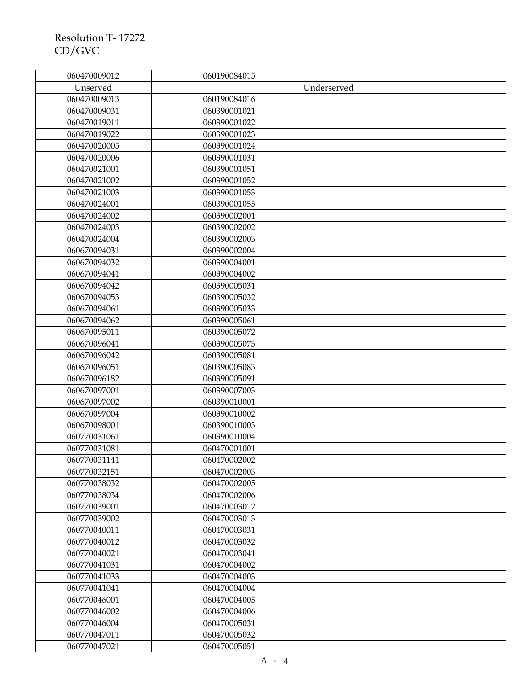| 060470009012 | 060190084015 |             |
|--------------|--------------|-------------|
| Unserved     |              | Underserved |
| 060470009013 | 060190084016 |             |
| 060470009031 | 060390001021 |             |
| 060470019011 | 060390001022 |             |
| 060470019022 | 060390001023 |             |
| 060470020005 | 060390001024 |             |
| 060470020006 | 060390001031 |             |
| 060470021001 | 060390001051 |             |
| 060470021002 | 060390001052 |             |
| 060470021003 | 060390001053 |             |
| 060470024001 | 060390001055 |             |
| 060470024002 | 060390002001 |             |
| 060470024003 | 060390002002 |             |
| 060470024004 | 060390002003 |             |
| 060670094031 | 060390002004 |             |
| 060670094032 | 060390004001 |             |
| 060670094041 | 060390004002 |             |
| 060670094042 | 060390005031 |             |
| 060670094053 | 060390005032 |             |
| 060670094061 | 060390005033 |             |
| 060670094062 | 060390005061 |             |
| 060670095011 | 060390005072 |             |
| 060670096041 | 060390005073 |             |
| 060670096042 | 060390005081 |             |
| 060670096051 | 060390005083 |             |
| 060670096182 | 060390005091 |             |
| 060670097001 | 060390007003 |             |
| 060670097002 | 060390010001 |             |
| 060670097004 | 060390010002 |             |
| 060670098001 | 060390010003 |             |
| 060770031061 | 060390010004 |             |
| 060770031081 | 060470001001 |             |
| 060770031141 | 060470002002 |             |
| 060770032151 | 060470002003 |             |
| 060770038032 | 060470002005 |             |
| 060770038034 | 060470002006 |             |
| 060770039001 | 060470003012 |             |
| 060770039002 | 060470003013 |             |
| 060770040011 | 060470003031 |             |
| 060770040012 | 060470003032 |             |
| 060770040021 | 060470003041 |             |
| 060770041031 | 060470004002 |             |
| 060770041033 | 060470004003 |             |
| 060770041041 | 060470004004 |             |
| 060770046001 | 060470004005 |             |
| 060770046002 | 060470004006 |             |
| 060770046004 | 060470005031 |             |
| 060770047011 | 060470005032 |             |
| 060770047021 | 060470005051 |             |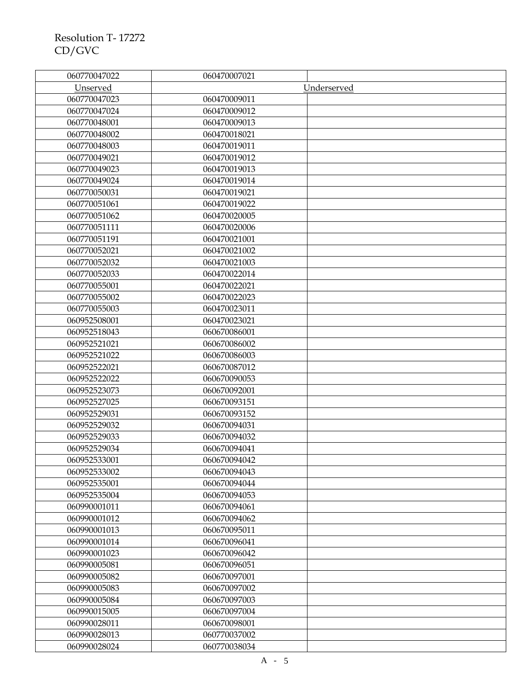| 060770047022 | 060470007021 |             |
|--------------|--------------|-------------|
| Unserved     |              | Underserved |
| 060770047023 | 060470009011 |             |
| 060770047024 | 060470009012 |             |
| 060770048001 | 060470009013 |             |
| 060770048002 | 060470018021 |             |
| 060770048003 | 060470019011 |             |
| 060770049021 | 060470019012 |             |
| 060770049023 | 060470019013 |             |
| 060770049024 | 060470019014 |             |
| 060770050031 | 060470019021 |             |
| 060770051061 | 060470019022 |             |
| 060770051062 | 060470020005 |             |
| 060770051111 | 060470020006 |             |
| 060770051191 | 060470021001 |             |
| 060770052021 | 060470021002 |             |
| 060770052032 | 060470021003 |             |
| 060770052033 | 060470022014 |             |
| 060770055001 | 060470022021 |             |
| 060770055002 | 060470022023 |             |
| 060770055003 | 060470023011 |             |
| 060952508001 | 060470023021 |             |
| 060952518043 | 060670086001 |             |
| 060952521021 | 060670086002 |             |
| 060952521022 | 060670086003 |             |
| 060952522021 | 060670087012 |             |
| 060952522022 | 060670090053 |             |
| 060952523073 | 060670092001 |             |
| 060952527025 | 060670093151 |             |
| 060952529031 | 060670093152 |             |
| 060952529032 | 060670094031 |             |
| 060952529033 | 060670094032 |             |
| 060952529034 | 060670094041 |             |
| 060952533001 | 060670094042 |             |
| 060952533002 | 060670094043 |             |
| 060952535001 | 060670094044 |             |
| 060952535004 | 060670094053 |             |
| 060990001011 | 060670094061 |             |
| 060990001012 | 060670094062 |             |
| 060990001013 | 060670095011 |             |
| 060990001014 | 060670096041 |             |
| 060990001023 | 060670096042 |             |
| 060990005081 | 060670096051 |             |
| 060990005082 | 060670097001 |             |
| 060990005083 | 060670097002 |             |
| 060990005084 | 060670097003 |             |
| 060990015005 | 060670097004 |             |
| 060990028011 | 060670098001 |             |
| 060990028013 | 060770037002 |             |
| 060990028024 | 060770038034 |             |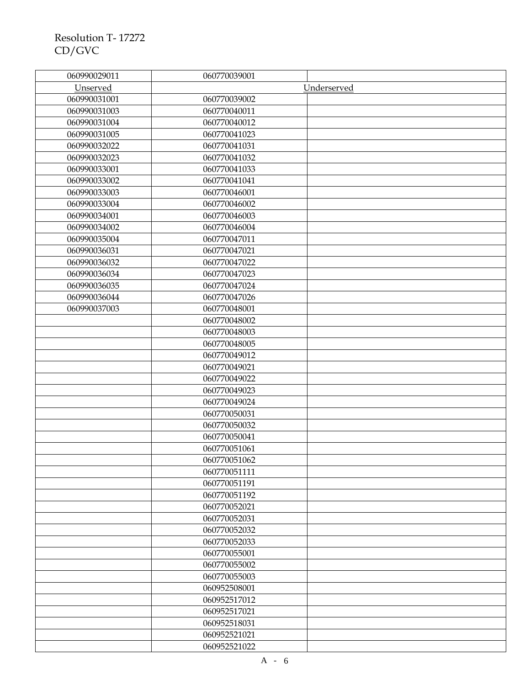| 060990029011 | 060770039001 |             |
|--------------|--------------|-------------|
| Unserved     |              | Underserved |
| 060990031001 | 060770039002 |             |
| 060990031003 | 060770040011 |             |
| 060990031004 | 060770040012 |             |
| 060990031005 | 060770041023 |             |
| 060990032022 | 060770041031 |             |
| 060990032023 | 060770041032 |             |
| 060990033001 | 060770041033 |             |
| 060990033002 | 060770041041 |             |
| 060990033003 | 060770046001 |             |
| 060990033004 | 060770046002 |             |
| 060990034001 | 060770046003 |             |
| 060990034002 | 060770046004 |             |
| 060990035004 | 060770047011 |             |
| 060990036031 | 060770047021 |             |
| 060990036032 | 060770047022 |             |
| 060990036034 | 060770047023 |             |
| 060990036035 | 060770047024 |             |
| 060990036044 | 060770047026 |             |
| 060990037003 | 060770048001 |             |
|              | 060770048002 |             |
|              | 060770048003 |             |
|              | 060770048005 |             |
|              | 060770049012 |             |
|              | 060770049021 |             |
|              | 060770049022 |             |
|              | 060770049023 |             |
|              | 060770049024 |             |
|              | 060770050031 |             |
|              | 060770050032 |             |
|              | 060770050041 |             |
|              | 060770051061 |             |
|              | 060770051062 |             |
|              | 060770051111 |             |
|              | 060770051191 |             |
|              | 060770051192 |             |
|              | 060770052021 |             |
|              | 060770052031 |             |
|              | 060770052032 |             |
|              | 060770052033 |             |
|              | 060770055001 |             |
|              | 060770055002 |             |
|              | 060770055003 |             |
|              | 060952508001 |             |
|              | 060952517012 |             |
|              | 060952517021 |             |
|              | 060952518031 |             |
|              | 060952521021 |             |
|              | 060952521022 |             |
|              |              |             |